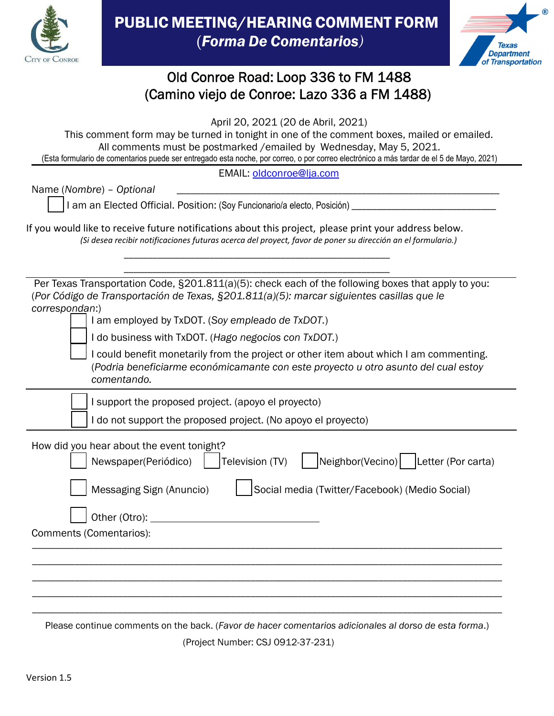



## Old Conroe Road: Loop 336 to FM 1488 (Camino viejo de Conroe: Lazo 336 a FM 1488)

April 20, 2021 (20 de Abril, 2021)

This comment form may be turned in tonight in one of the comment boxes, mailed or emailed. All comments must be postmarked /emailed by Wednesday, May 5, 2021. (Esta formulario de comentarios puede ser entregado esta noche, por correo, o por correo electrónico a más tardar de el 5 de Mayo, 2021)

EMAIL: oldconroe@lja.com

Name (*Nombre*) – *Optional* \_\_\_\_\_\_\_\_\_\_\_\_\_\_\_\_\_\_\_\_\_\_\_\_\_\_\_\_\_\_\_\_\_\_\_\_\_\_\_\_\_\_\_\_\_\_\_\_\_\_\_\_\_\_\_\_\_\_\_\_\_\_\_\_\_\_\_\_

I am an Elected Official. Position: (Soy Funcionario/a electo, Posición) \_\_\_\_\_\_\_\_\_\_\_\_\_\_\_\_\_\_\_\_\_\_\_\_\_\_\_\_\_

If you would like to receive future notifications about this project, please print your address below. *(Si desea recibir notificaciones futuras acerca del proyect, favor de poner su dirección an el formulario.)*

*\_\_\_\_\_\_\_\_\_\_\_\_\_\_\_\_\_\_\_\_\_\_\_\_\_\_\_\_\_\_\_\_\_\_\_\_\_\_\_\_\_\_\_\_\_\_\_\_\_\_\_\_\_\_\_\_*

| Per Texas Transportation Code, §201.811(a)(5): check each of the following boxes that apply to you:<br>(Por Código de Transportación de Texas, §201.811(a)(5): marcar siguientes casillas que le |  |  |
|--------------------------------------------------------------------------------------------------------------------------------------------------------------------------------------------------|--|--|
| correspondan:)<br>I am employed by TxDOT. (Soy empleado de TxDOT.)                                                                                                                               |  |  |
| I do business with TxDOT. (Hago negocios con TxDOT.)                                                                                                                                             |  |  |
| I could benefit monetarily from the project or other item about which I am commenting.<br>(Podria beneficiarme económicamante con este proyecto u otro asunto del cual estoy<br>comentando.      |  |  |
| I support the proposed project. (apoyo el proyecto)                                                                                                                                              |  |  |
| I do not support the proposed project. (No apoyo el proyecto)                                                                                                                                    |  |  |
| How did you hear about the event tonight?<br>Neighbor(Vecino)   Letter (Por carta)<br>Newspaper(Periódico)<br>Television (TV)                                                                    |  |  |
| Messaging Sign (Anuncio)<br>Social media (Twitter/Facebook) (Medio Social)                                                                                                                       |  |  |
| Other (Otro):                                                                                                                                                                                    |  |  |
| Comments (Comentarios):                                                                                                                                                                          |  |  |
|                                                                                                                                                                                                  |  |  |
|                                                                                                                                                                                                  |  |  |
|                                                                                                                                                                                                  |  |  |
|                                                                                                                                                                                                  |  |  |

Please continue comments on the back. (*Favor de hacer comentarios adicionales al dorso de esta forma*.)

(Project Number: CSJ 0912-37-231)